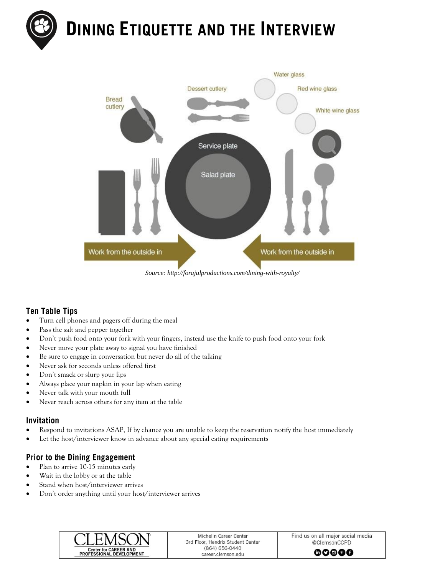



#### *Source: http://forajulproductions.com/dining-with-royalty/*

# **Ten Table Tips**

- Turn cell phones and pagers off during the meal
- Pass the salt and pepper together
- Don't push food onto your fork with your fingers, instead use the knife to push food onto your fork
- Never move your plate away to signal you have finished
- Be sure to engage in conversation but never do all of the talking
- Never ask for seconds unless offered first
- Don't smack or slurp your lips
- Always place your napkin in your lap when eating
- Never talk with your mouth full
- Never reach across others for any item at the table

#### Invitation

- Respond to invitations ASAP, If by chance you are unable to keep the reservation notify the host immediately
- Let the host/interviewer know in advance about any special eating requirements

# **Prior to the Dining Engagement**

- Plan to arrive 10-15 minutes early
- Wait in the lobby or at the table
- Stand when host/interviewer arrives
- Don't order anything until your host/interviewer arrives